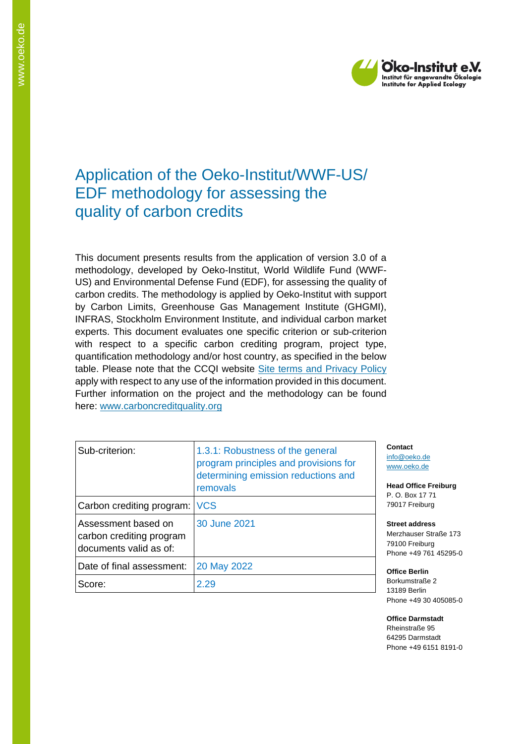

# Application of the Oeko-Institut/WWF-US/ EDF methodology for assessing the quality of carbon credits

This document presents results from the application of version 3.0 of a methodology, developed by Oeko-Institut, World Wildlife Fund (WWF-US) and Environmental Defense Fund (EDF), for assessing the quality of carbon credits. The methodology is applied by Oeko-Institut with support by Carbon Limits, Greenhouse Gas Management Institute (GHGMI), INFRAS, Stockholm Environment Institute, and individual carbon market experts. This document evaluates one specific criterion or sub-criterion with respect to a specific carbon crediting program, project type, quantification methodology and/or host country, as specified in the below table. Please note that the CCQI website [Site terms and Privacy Policy](https://carboncreditquality.org/terms.html) apply with respect to any use of the information provided in this document. Further information on the project and the methodology can be found here: [www.carboncreditquality.org](http://www.carboncreditquality.org/)

| Sub-criterion:                                                            | 1.3.1: Robustness of the general<br>program principles and provisions for<br>determining emission reductions and<br>removals |  |
|---------------------------------------------------------------------------|------------------------------------------------------------------------------------------------------------------------------|--|
| Carbon crediting program: VCS                                             |                                                                                                                              |  |
| Assessment based on<br>carbon crediting program<br>documents valid as of: | 30 June 2021                                                                                                                 |  |
| Date of final assessment:                                                 | 20 May 2022                                                                                                                  |  |
| Score:                                                                    | 2.29                                                                                                                         |  |

**Contact** nfo@oeko.de [www.oeko.de](http://www.oeko.de/)

**Head Office Freiburg** P. O. Box 17 71 79017 Freiburg

**Street address** Merzhauser Straße 173 79100 Freiburg Phone +49 761 45295-0

**Office Berlin** Borkumstraße 2 13189 Berlin Phone +49 30 405085-0

**Office Darmstadt** Rheinstraße 95 64295 Darmstadt Phone +49 6151 8191-0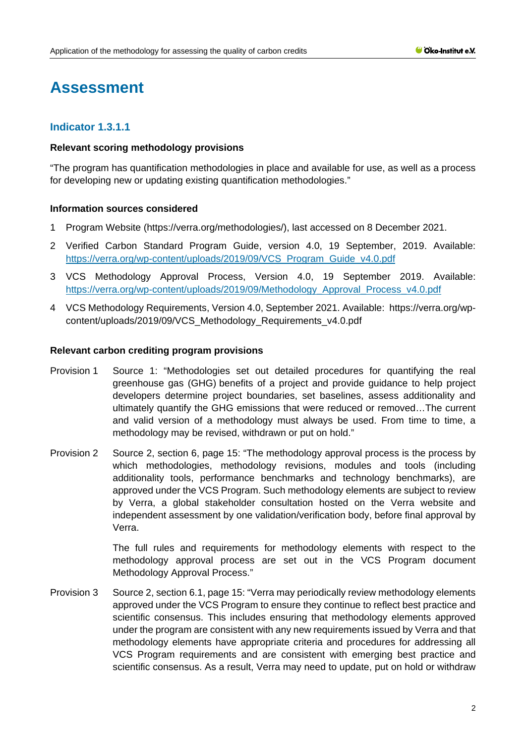# **Assessment**

# **Indicator 1.3.1.1**

## **Relevant scoring methodology provisions**

"The program has quantification methodologies in place and available for use, as well as a process for developing new or updating existing quantification methodologies."

## **Information sources considered**

- 1 Program Website (https://verra.org/methodologies/), last accessed on 8 December 2021.
- 2 Verified Carbon Standard Program Guide, version 4.0, 19 September, 2019. Available: [https://verra.org/wp-content/uploads/2019/09/VCS\\_Program\\_Guide\\_v4.0.pdf](https://verra.org/wp-content/uploads/2019/09/VCS_Program_Guide_v4.0.pdf)
- 3 VCS Methodology Approval Process, Version 4.0, 19 September 2019. Available: [https://verra.org/wp-content/uploads/2019/09/Methodology\\_Approval\\_Process\\_v4.0.pdf](https://verra.org/wp-content/uploads/2019/09/Methodology_Approval_Process_v4.0.pdf)
- 4 VCS Methodology Requirements, Version 4.0, September 2021. Available: [https://verra.org/wp](https://verra.org/wp-content/uploads/2019/09/VCS_Methodology_Requirements_v4.0.pdf)[content/uploads/2019/09/VCS\\_Methodology\\_Requirements\\_v4.0.pdf](https://verra.org/wp-content/uploads/2019/09/VCS_Methodology_Requirements_v4.0.pdf)

#### **Relevant carbon crediting program provisions**

- Provision 1 Source 1: "Methodologies set out detailed procedures for quantifying the real greenhouse gas (GHG) benefits of a project and provide guidance to help project developers determine project boundaries, set baselines, assess additionality and ultimately quantify the GHG emissions that were reduced or removed…The current and valid version of a methodology must always be used. From time to time, a methodology may be revised, withdrawn or put on hold."
- Provision 2 Source 2, section 6, page 15: "The methodology approval process is the process by which methodologies, methodology revisions, modules and tools (including additionality tools, performance benchmarks and technology benchmarks), are approved under the VCS Program. Such methodology elements are subject to review by Verra, a global stakeholder consultation hosted on the Verra website and independent assessment by one validation/verification body, before final approval by Verra.

The full rules and requirements for methodology elements with respect to the methodology approval process are set out in the VCS Program document Methodology Approval Process."

Provision 3 Source 2, section 6.1, page 15: "Verra may periodically review methodology elements approved under the VCS Program to ensure they continue to reflect best practice and scientific consensus. This includes ensuring that methodology elements approved under the program are consistent with any new requirements issued by Verra and that methodology elements have appropriate criteria and procedures for addressing all VCS Program requirements and are consistent with emerging best practice and scientific consensus. As a result, Verra may need to update, put on hold or withdraw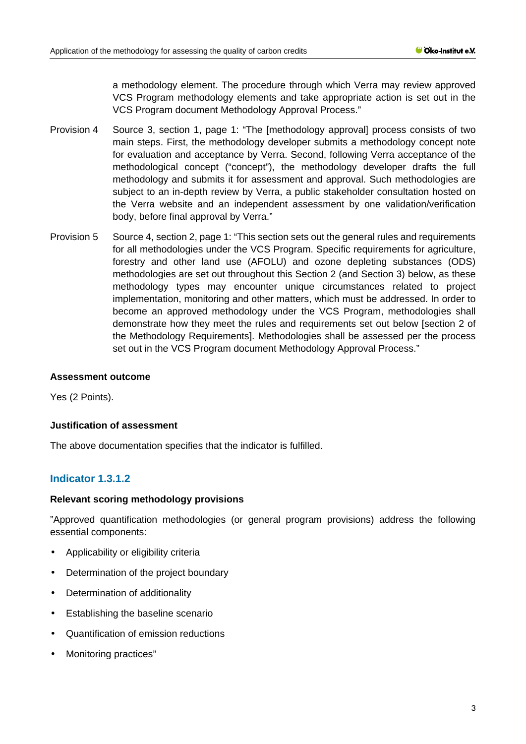a methodology element. The procedure through which Verra may review approved VCS Program methodology elements and take appropriate action is set out in the VCS Program document Methodology Approval Process."

- Provision 4 Source 3, section 1, page 1: "The [methodology approval] process consists of two main steps. First, the methodology developer submits a methodology concept note for evaluation and acceptance by Verra. Second, following Verra acceptance of the methodological concept ("concept"), the methodology developer drafts the full methodology and submits it for assessment and approval. Such methodologies are subject to an in-depth review by Verra, a public stakeholder consultation hosted on the Verra website and an independent assessment by one validation/verification body, before final approval by Verra."
- Provision 5 Source 4, section 2, page 1: "This section sets out the general rules and requirements for all methodologies under the VCS Program. Specific requirements for agriculture, forestry and other land use (AFOLU) and ozone depleting substances (ODS) methodologies are set out throughout this Section 2 (and Section 3) below, as these methodology types may encounter unique circumstances related to project implementation, monitoring and other matters, which must be addressed. In order to become an approved methodology under the VCS Program, methodologies shall demonstrate how they meet the rules and requirements set out below [section 2 of the Methodology Requirements]. Methodologies shall be assessed per the process set out in the VCS Program document Methodology Approval Process."

#### **Assessment outcome**

Yes (2 Points).

## **Justification of assessment**

The above documentation specifies that the indicator is fulfilled.

# **Indicator 1.3.1.2**

#### **Relevant scoring methodology provisions**

"Approved quantification methodologies (or general program provisions) address the following essential components:

- Applicability or eligibility criteria ÷.
- Determination of the project boundary
- Determination of additionality
- Establishing the baseline scenario
- Quantification of emission reductions
- Monitoring practices"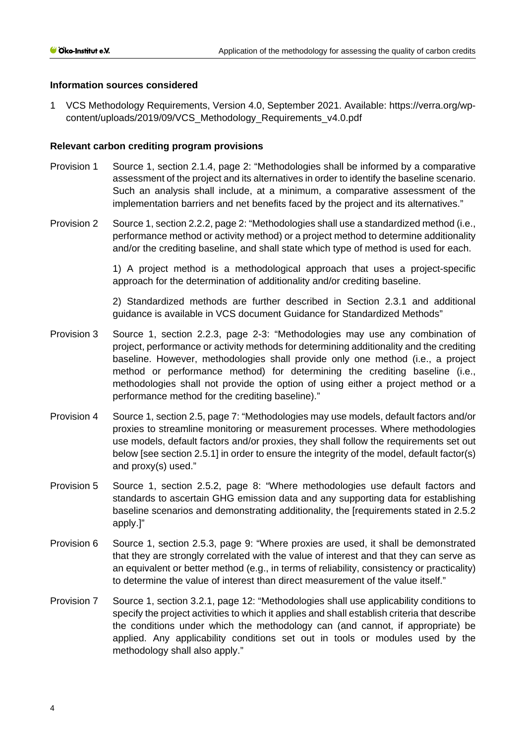## **Information sources considered**

1 VCS Methodology Requirements, Version 4.0, September 2021. Available: [https://verra.org/wp](https://verra.org/wp-content/uploads/2019/09/VCS_Methodology_Requirements_v4.0.pdf)[content/uploads/2019/09/VCS\\_Methodology\\_Requirements\\_v4.0.pdf](https://verra.org/wp-content/uploads/2019/09/VCS_Methodology_Requirements_v4.0.pdf)

## **Relevant carbon crediting program provisions**

- Provision 1 Source 1, section 2.1.4, page 2: "Methodologies shall be informed by a comparative assessment of the project and its alternatives in order to identify the baseline scenario. Such an analysis shall include, at a minimum, a comparative assessment of the implementation barriers and net benefits faced by the project and its alternatives."
- Provision 2 Source 1, section 2.2.2, page 2: "Methodologies shall use a standardized method (i.e., performance method or activity method) or a project method to determine additionality and/or the crediting baseline, and shall state which type of method is used for each.

1) A project method is a methodological approach that uses a project-specific approach for the determination of additionality and/or crediting baseline.

2) Standardized methods are further described in Section 2.3.1 and additional guidance is available in VCS document Guidance for Standardized Methods"

- Provision 3 Source 1, section 2.2.3, page 2-3: "Methodologies may use any combination of project, performance or activity methods for determining additionality and the crediting baseline. However, methodologies shall provide only one method (i.e., a project method or performance method) for determining the crediting baseline (i.e., methodologies shall not provide the option of using either a project method or a performance method for the crediting baseline)."
- Provision 4 Source 1, section 2.5, page 7: "Methodologies may use models, default factors and/or proxies to streamline monitoring or measurement processes. Where methodologies use models, default factors and/or proxies, they shall follow the requirements set out below [see section 2.5.1] in order to ensure the integrity of the model, default factor(s) and proxy(s) used."
- Provision 5 Source 1, section 2.5.2, page 8: "Where methodologies use default factors and standards to ascertain GHG emission data and any supporting data for establishing baseline scenarios and demonstrating additionality, the [requirements stated in 2.5.2 apply.]"
- Provision 6 Source 1, section 2.5.3, page 9: "Where proxies are used, it shall be demonstrated that they are strongly correlated with the value of interest and that they can serve as an equivalent or better method (e.g., in terms of reliability, consistency or practicality) to determine the value of interest than direct measurement of the value itself."
- Provision 7 Source 1, section 3.2.1, page 12: "Methodologies shall use applicability conditions to specify the project activities to which it applies and shall establish criteria that describe the conditions under which the methodology can (and cannot, if appropriate) be applied. Any applicability conditions set out in tools or modules used by the methodology shall also apply."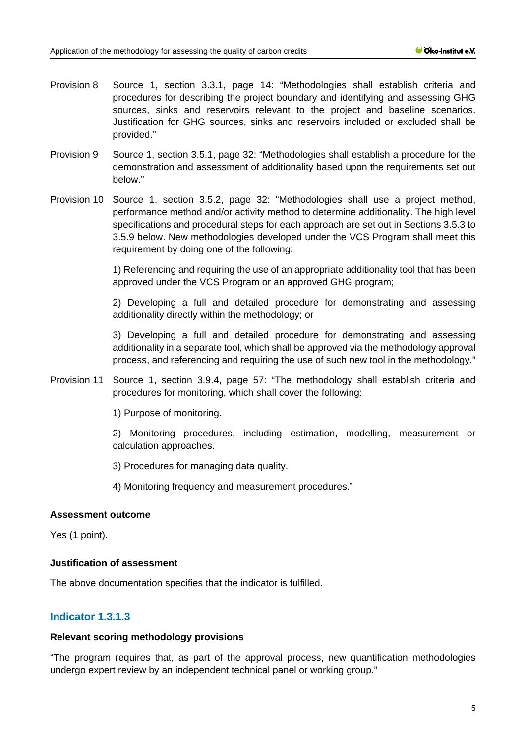- Provision 8 Source 1, section 3.3.1, page 14: "Methodologies shall establish criteria and procedures for describing the project boundary and identifying and assessing GHG sources, sinks and reservoirs relevant to the project and baseline scenarios. Justification for GHG sources, sinks and reservoirs included or excluded shall be provided."
- Provision 9 Source 1, section 3.5.1, page 32: "Methodologies shall establish a procedure for the demonstration and assessment of additionality based upon the requirements set out below."
- Provision 10 Source 1, section 3.5.2, page 32: "Methodologies shall use a project method, performance method and/or activity method to determine additionality. The high level specifications and procedural steps for each approach are set out in Sections 3.5.3 to 3.5.9 below. New methodologies developed under the VCS Program shall meet this requirement by doing one of the following:

1) Referencing and requiring the use of an appropriate additionality tool that has been approved under the VCS Program or an approved GHG program;

2) Developing a full and detailed procedure for demonstrating and assessing additionality directly within the methodology; or

3) Developing a full and detailed procedure for demonstrating and assessing additionality in a separate tool, which shall be approved via the methodology approval process, and referencing and requiring the use of such new tool in the methodology."

Provision 11 Source 1, section 3.9.4, page 57: "The methodology shall establish criteria and procedures for monitoring, which shall cover the following:

1) Purpose of monitoring.

2) Monitoring procedures, including estimation, modelling, measurement or calculation approaches.

3) Procedures for managing data quality.

4) Monitoring frequency and measurement procedures."

#### **Assessment outcome**

Yes (1 point).

#### **Justification of assessment**

The above documentation specifies that the indicator is fulfilled.

# **Indicator 1.3.1.3**

#### **Relevant scoring methodology provisions**

"The program requires that, as part of the approval process, new quantification methodologies undergo expert review by an independent technical panel or working group."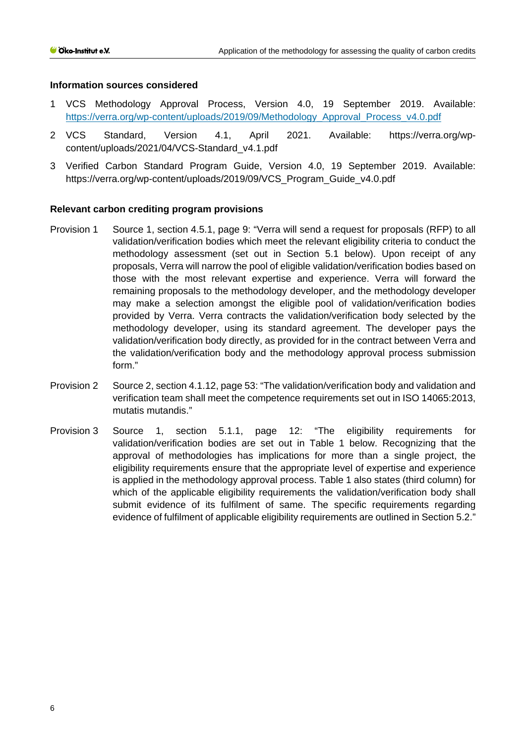#### **Information sources considered**

- 1 VCS Methodology Approval Process, Version 4.0, 19 September 2019. Available: [https://verra.org/wp-content/uploads/2019/09/Methodology\\_Approval\\_Process\\_v4.0.pdf](https://verra.org/wp-content/uploads/2019/09/Methodology_Approval_Process_v4.0.pdf)
- 2 VCS Standard, Version 4.1, April 2021. Available: [https://verra.org/wp](https://verra.org/wp-content/uploads/2021/04/VCS-Standard_v4.1.pdf)[content/uploads/2021/04/VCS-Standard\\_v4.1.pdf](https://verra.org/wp-content/uploads/2021/04/VCS-Standard_v4.1.pdf)
- 3 Verified Carbon Standard Program Guide, Version 4.0, 19 September 2019. Available: [https://verra.org/wp-content/uploads/2019/09/VCS\\_Program\\_Guide\\_v4.0.pdf](https://verra.org/wp-content/uploads/2019/09/VCS_Program_Guide_v4.0.pdf)

## **Relevant carbon crediting program provisions**

- Provision 1 Source 1, section 4.5.1, page 9: "Verra will send a request for proposals (RFP) to all validation/verification bodies which meet the relevant eligibility criteria to conduct the methodology assessment (set out in Section 5.1 below). Upon receipt of any proposals, Verra will narrow the pool of eligible validation/verification bodies based on those with the most relevant expertise and experience. Verra will forward the remaining proposals to the methodology developer, and the methodology developer may make a selection amongst the eligible pool of validation/verification bodies provided by Verra. Verra contracts the validation/verification body selected by the methodology developer, using its standard agreement. The developer pays the validation/verification body directly, as provided for in the contract between Verra and the validation/verification body and the methodology approval process submission form."
- Provision 2 Source 2, section 4.1.12, page 53: "The validation/verification body and validation and verification team shall meet the competence requirements set out in ISO 14065:2013, mutatis mutandis."
- Provision 3 Source 1, section 5.1.1, page 12: "The eligibility requirements for validation/verification bodies are set out in Table 1 below. Recognizing that the approval of methodologies has implications for more than a single project, the eligibility requirements ensure that the appropriate level of expertise and experience is applied in the methodology approval process. Table 1 also states (third column) for which of the applicable eligibility requirements the validation/verification body shall submit evidence of its fulfilment of same. The specific requirements regarding evidence of fulfilment of applicable eligibility requirements are outlined in Section 5.2."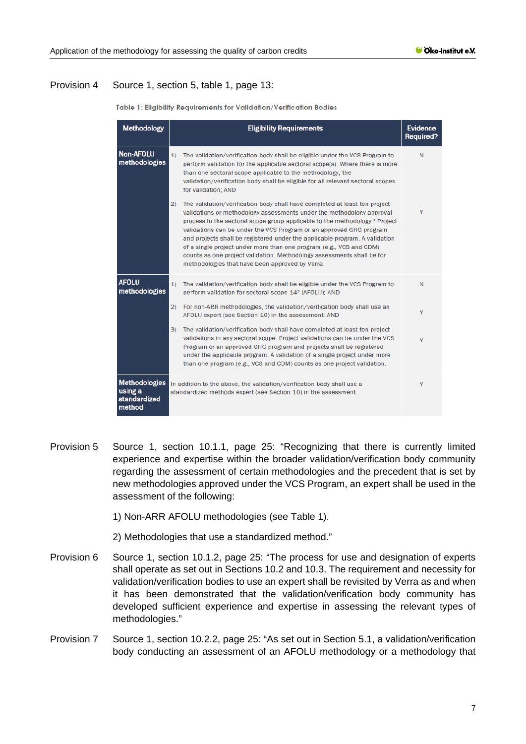## Provision 4 Source 1, section 5, table 1, page 13:

| <b>Methodology</b>                                        | <b>Eligibility Requirements</b>                                                                                                                                                                                                                                                                                                                                                                                                                                                                                                                                                                                 | <b>Evidence</b><br><b>Required?</b> |
|-----------------------------------------------------------|-----------------------------------------------------------------------------------------------------------------------------------------------------------------------------------------------------------------------------------------------------------------------------------------------------------------------------------------------------------------------------------------------------------------------------------------------------------------------------------------------------------------------------------------------------------------------------------------------------------------|-------------------------------------|
| <b>Non-AFOLU</b><br>methodologies                         | 1)<br>The validation/verification body shall be eligible under the VCS Program to<br>perform validation for the applicable sectoral scope(s). Where there is more<br>than one sectoral scope applicable to the methodology, the<br>validation/verification body shall be eligible for all relevant sectoral scopes<br>for validation; AND                                                                                                                                                                                                                                                                       | Ν                                   |
|                                                           | (2)<br>The validation/verification body shall have completed at least ten project<br>validations or methodology assessments under the methodology approval<br>process in the sectoral scope group applicable to the methodology. <sup>1</sup> Project<br>validations can be under the VCS Program or an approved GHG program<br>and projects shall be registered under the applicable program. A validation<br>of a single project under more than one program (e.g., VCS and CDM)<br>counts as one project validation. Methodology assessments shall be for<br>methodologies that have been approved by Verra. | Y                                   |
| <b>AFOLU</b><br>methodologies                             | The validation/verification body shall be eligible under the VCS Program to<br>1)<br>perform validation for sectoral scope 14 <sup>2</sup> (AFOLU); AND                                                                                                                                                                                                                                                                                                                                                                                                                                                         | N                                   |
|                                                           | 2)<br>For non-ARR methodologies, the validation/verification body shall use an<br>AFOLU expert (see Section 10) in the assessment; AND                                                                                                                                                                                                                                                                                                                                                                                                                                                                          | Y                                   |
|                                                           | 3)<br>The validation/verification body shall have completed at least ten project<br>validations in any sectoral scope. Project validations can be under the VCS<br>Program or an approved GHG program and projects shall be registered<br>under the applicable program. A validation of a single project under more<br>than one program (e.g., VCS and CDM) counts as one project validation.                                                                                                                                                                                                                   | Y                                   |
| <b>Methodologies</b><br>using a<br>standardized<br>method | In addition to the above, the validation/verification body shall use a<br>standardized methods expert (see Section 10) in the assessment.                                                                                                                                                                                                                                                                                                                                                                                                                                                                       | Y                                   |

Table 1: Eliaibility Reauirements for Validation/Verification Bodies

Provision 5 Source 1, section 10.1.1, page 25: "Recognizing that there is currently limited experience and expertise within the broader validation/verification body community regarding the assessment of certain methodologies and the precedent that is set by new methodologies approved under the VCS Program, an expert shall be used in the assessment of the following:

1) Non-ARR AFOLU methodologies (see Table 1).

- 2) Methodologies that use a standardized method."
- Provision 6 Source 1, section 10.1.2, page 25: "The process for use and designation of experts shall operate as set out in Sections 10.2 and 10.3. The requirement and necessity for validation/verification bodies to use an expert shall be revisited by Verra as and when it has been demonstrated that the validation/verification body community has developed sufficient experience and expertise in assessing the relevant types of methodologies."
- Provision 7 Source 1, section 10.2.2, page 25: "As set out in Section 5.1, a validation/verification body conducting an assessment of an AFOLU methodology or a methodology that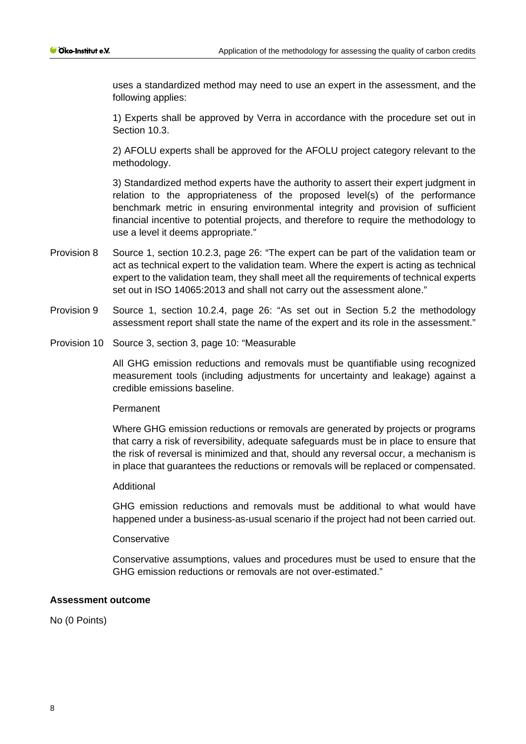uses a standardized method may need to use an expert in the assessment, and the following applies:

1) Experts shall be approved by Verra in accordance with the procedure set out in Section 10.3.

2) AFOLU experts shall be approved for the AFOLU project category relevant to the methodology.

3) Standardized method experts have the authority to assert their expert judgment in relation to the appropriateness of the proposed level(s) of the performance benchmark metric in ensuring environmental integrity and provision of sufficient financial incentive to potential projects, and therefore to require the methodology to use a level it deems appropriate."

- Provision 8 Source 1, section 10.2.3, page 26: "The expert can be part of the validation team or act as technical expert to the validation team. Where the expert is acting as technical expert to the validation team, they shall meet all the requirements of technical experts set out in ISO 14065:2013 and shall not carry out the assessment alone."
- Provision 9 Source 1, section 10.2.4, page 26: "As set out in Section 5.2 the methodology assessment report shall state the name of the expert and its role in the assessment."
- Provision 10 Source 3, section 3, page 10: "Measurable

All GHG emission reductions and removals must be quantifiable using recognized measurement tools (including adjustments for uncertainty and leakage) against a credible emissions baseline.

#### Permanent

Where GHG emission reductions or removals are generated by projects or programs that carry a risk of reversibility, adequate safeguards must be in place to ensure that the risk of reversal is minimized and that, should any reversal occur, a mechanism is in place that guarantees the reductions or removals will be replaced or compensated.

#### Additional

GHG emission reductions and removals must be additional to what would have happened under a business-as-usual scenario if the project had not been carried out.

#### **Conservative**

Conservative assumptions, values and procedures must be used to ensure that the GHG emission reductions or removals are not over-estimated."

#### **Assessment outcome**

No (0 Points)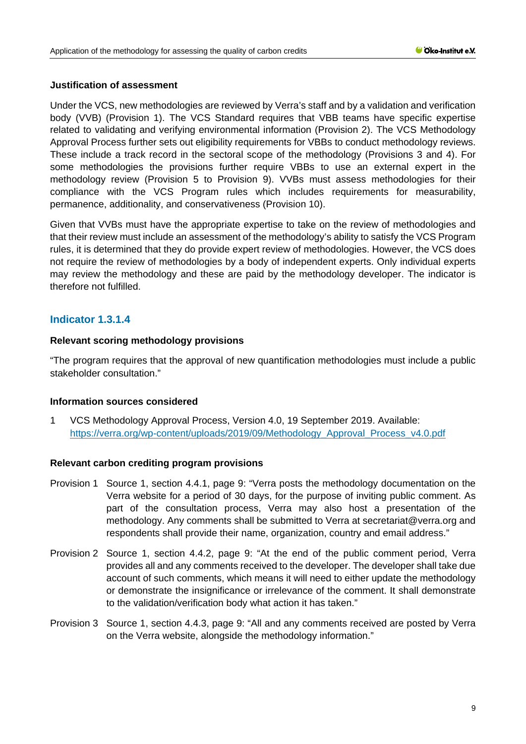## **Justification of assessment**

Under the VCS, new methodologies are reviewed by Verra's staff and by a validation and verification body (VVB) (Provision 1). The VCS Standard requires that VBB teams have specific expertise related to validating and verifying environmental information (Provision 2). The VCS Methodology Approval Process further sets out eligibility requirements for VBBs to conduct methodology reviews. These include a track record in the sectoral scope of the methodology (Provisions 3 and 4). For some methodologies the provisions further require VBBs to use an external expert in the methodology review (Provision 5 to Provision 9). VVBs must assess methodologies for their compliance with the VCS Program rules which includes requirements for measurability, permanence, additionality, and conservativeness (Provision 10).

Given that VVBs must have the appropriate expertise to take on the review of methodologies and that their review must include an assessment of the methodology's ability to satisfy the VCS Program rules, it is determined that they do provide expert review of methodologies. However, the VCS does not require the review of methodologies by a body of independent experts. Only individual experts may review the methodology and these are paid by the methodology developer. The indicator is therefore not fulfilled.

# **Indicator 1.3.1.4**

## **Relevant scoring methodology provisions**

"The program requires that the approval of new quantification methodologies must include a public stakeholder consultation."

#### **Information sources considered**

1 VCS Methodology Approval Process, Version 4.0, 19 September 2019. Available: [https://verra.org/wp-content/uploads/2019/09/Methodology\\_Approval\\_Process\\_v4.0.pdf](https://verra.org/wp-content/uploads/2019/09/Methodology_Approval_Process_v4.0.pdf) 

#### **Relevant carbon crediting program provisions**

- Provision 1 Source 1, section 4.4.1, page 9: "Verra posts the methodology documentation on the Verra website for a period of 30 days, for the purpose of inviting public comment. As part of the consultation process, Verra may also host a presentation of the methodology. Any comments shall be submitted to Verra at secretariat@verra.org and respondents shall provide their name, organization, country and email address."
- Provision 2 Source 1, section 4.4.2, page 9: "At the end of the public comment period, Verra provides all and any comments received to the developer. The developer shall take due account of such comments, which means it will need to either update the methodology or demonstrate the insignificance or irrelevance of the comment. It shall demonstrate to the validation/verification body what action it has taken."
- Provision 3 Source 1, section 4.4.3, page 9: "All and any comments received are posted by Verra on the Verra website, alongside the methodology information."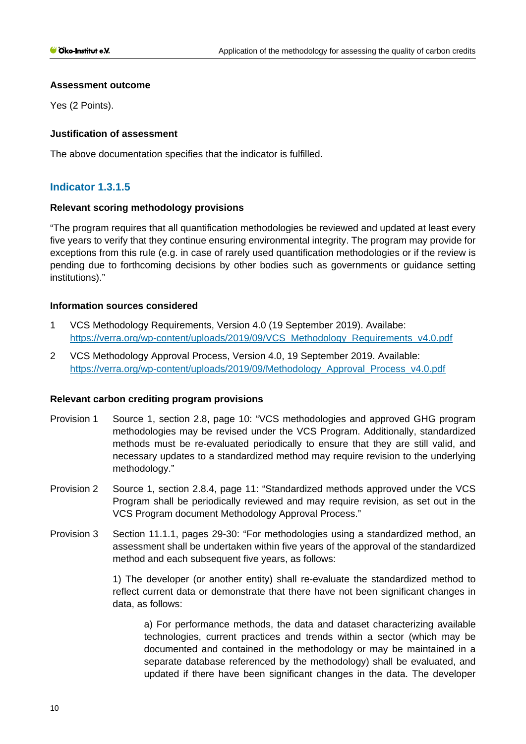## **Assessment outcome**

Yes (2 Points).

## **Justification of assessment**

The above documentation specifies that the indicator is fulfilled.

# **Indicator 1.3.1.5**

## **Relevant scoring methodology provisions**

"The program requires that all quantification methodologies be reviewed and updated at least every five years to verify that they continue ensuring environmental integrity. The program may provide for exceptions from this rule (e.g. in case of rarely used quantification methodologies or if the review is pending due to forthcoming decisions by other bodies such as governments or guidance setting institutions)."

## **Information sources considered**

- 1 VCS Methodology Requirements, Version 4.0 (19 September 2019). Availabe: [https://verra.org/wp-content/uploads/2019/09/VCS\\_Methodology\\_Requirements\\_v4.0.pdf](https://verra.org/wp-content/uploads/2019/09/VCS_Methodology_Requirements_v4.0.pdf)
- 2 VCS Methodology Approval Process, Version 4.0, 19 September 2019. Available: [https://verra.org/wp-content/uploads/2019/09/Methodology\\_Approval\\_Process\\_v4.0.pdf](https://verra.org/wp-content/uploads/2019/09/Methodology_Approval_Process_v4.0.pdf)

## **Relevant carbon crediting program provisions**

- Provision 1 Source 1, section 2.8, page 10: "VCS methodologies and approved GHG program methodologies may be revised under the VCS Program. Additionally, standardized methods must be re-evaluated periodically to ensure that they are still valid, and necessary updates to a standardized method may require revision to the underlying methodology."
- Provision 2 Source 1, section 2.8.4, page 11: "Standardized methods approved under the VCS Program shall be periodically reviewed and may require revision, as set out in the VCS Program document Methodology Approval Process."
- Provision 3 Section 11.1.1, pages 29-30: "For methodologies using a standardized method, an assessment shall be undertaken within five years of the approval of the standardized method and each subsequent five years, as follows:

1) The developer (or another entity) shall re-evaluate the standardized method to reflect current data or demonstrate that there have not been significant changes in data, as follows:

a) For performance methods, the data and dataset characterizing available technologies, current practices and trends within a sector (which may be documented and contained in the methodology or may be maintained in a separate database referenced by the methodology) shall be evaluated, and updated if there have been significant changes in the data. The developer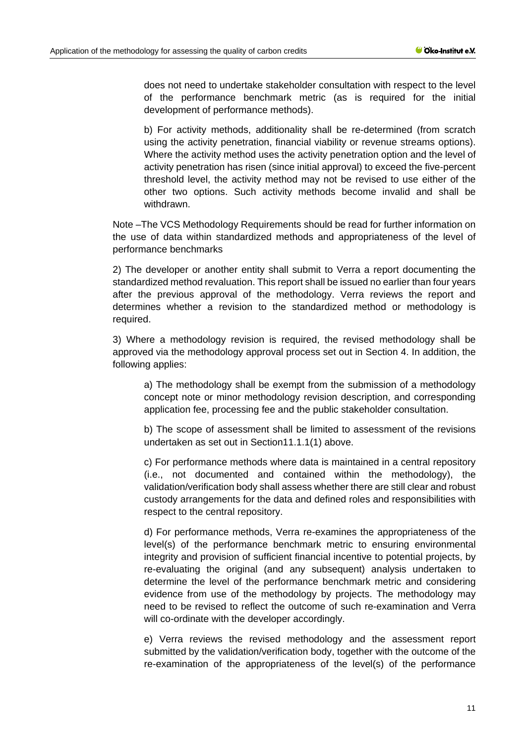does not need to undertake stakeholder consultation with respect to the level of the performance benchmark metric (as is required for the initial development of performance methods).

b) For activity methods, additionality shall be re-determined (from scratch using the activity penetration, financial viability or revenue streams options). Where the activity method uses the activity penetration option and the level of activity penetration has risen (since initial approval) to exceed the five-percent threshold level, the activity method may not be revised to use either of the other two options. Such activity methods become invalid and shall be withdrawn.

Note –The VCS Methodology Requirements should be read for further information on the use of data within standardized methods and appropriateness of the level of performance benchmarks

2) The developer or another entity shall submit to Verra a report documenting the standardized method revaluation. This report shall be issued no earlier than four years after the previous approval of the methodology. Verra reviews the report and determines whether a revision to the standardized method or methodology is required.

3) Where a methodology revision is required, the revised methodology shall be approved via the methodology approval process set out in Section 4. In addition, the following applies:

a) The methodology shall be exempt from the submission of a methodology concept note or minor methodology revision description, and corresponding application fee, processing fee and the public stakeholder consultation.

b) The scope of assessment shall be limited to assessment of the revisions undertaken as set out in Section11.1.1(1) above.

c) For performance methods where data is maintained in a central repository (i.e., not documented and contained within the methodology), the validation/verification body shall assess whether there are still clear and robust custody arrangements for the data and defined roles and responsibilities with respect to the central repository.

d) For performance methods, Verra re-examines the appropriateness of the level(s) of the performance benchmark metric to ensuring environmental integrity and provision of sufficient financial incentive to potential projects, by re-evaluating the original (and any subsequent) analysis undertaken to determine the level of the performance benchmark metric and considering evidence from use of the methodology by projects. The methodology may need to be revised to reflect the outcome of such re-examination and Verra will co-ordinate with the developer accordingly.

e) Verra reviews the revised methodology and the assessment report submitted by the validation/verification body, together with the outcome of the re-examination of the appropriateness of the level(s) of the performance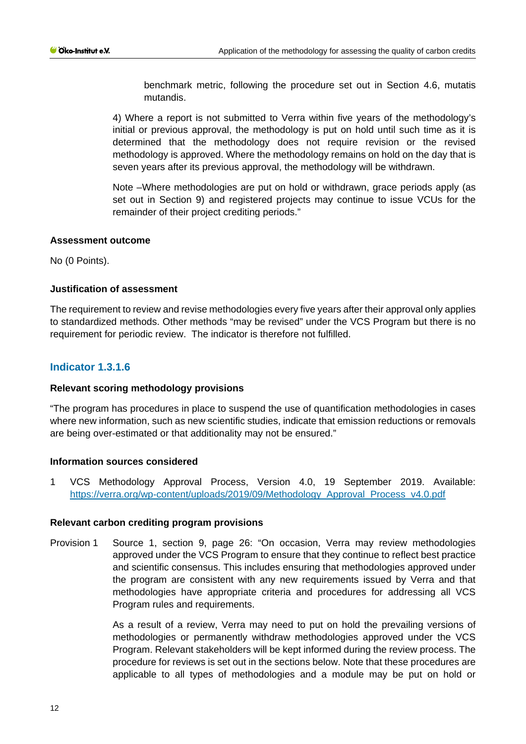benchmark metric, following the procedure set out in Section 4.6, mutatis mutandis.

4) Where a report is not submitted to Verra within five years of the methodology's initial or previous approval, the methodology is put on hold until such time as it is determined that the methodology does not require revision or the revised methodology is approved. Where the methodology remains on hold on the day that is seven years after its previous approval, the methodology will be withdrawn.

Note –Where methodologies are put on hold or withdrawn, grace periods apply (as set out in Section 9) and registered projects may continue to issue VCUs for the remainder of their project crediting periods."

## **Assessment outcome**

No (0 Points).

## **Justification of assessment**

The requirement to review and revise methodologies every five years after their approval only applies to standardized methods. Other methods "may be revised" under the VCS Program but there is no requirement for periodic review. The indicator is therefore not fulfilled.

# **Indicator 1.3.1.6**

## **Relevant scoring methodology provisions**

"The program has procedures in place to suspend the use of quantification methodologies in cases where new information, such as new scientific studies, indicate that emission reductions or removals are being over-estimated or that additionality may not be ensured."

#### **Information sources considered**

1 VCS Methodology Approval Process, Version 4.0, 19 September 2019. Available: [https://verra.org/wp-content/uploads/2019/09/Methodology\\_Approval\\_Process\\_v4.0.pdf](https://verra.org/wp-content/uploads/2019/09/Methodology_Approval_Process_v4.0.pdf)

#### **Relevant carbon crediting program provisions**

Provision 1 Source 1, section 9, page 26: "On occasion, Verra may review methodologies approved under the VCS Program to ensure that they continue to reflect best practice and scientific consensus. This includes ensuring that methodologies approved under the program are consistent with any new requirements issued by Verra and that methodologies have appropriate criteria and procedures for addressing all VCS Program rules and requirements.

> As a result of a review, Verra may need to put on hold the prevailing versions of methodologies or permanently withdraw methodologies approved under the VCS Program. Relevant stakeholders will be kept informed during the review process. The procedure for reviews is set out in the sections below. Note that these procedures are applicable to all types of methodologies and a module may be put on hold or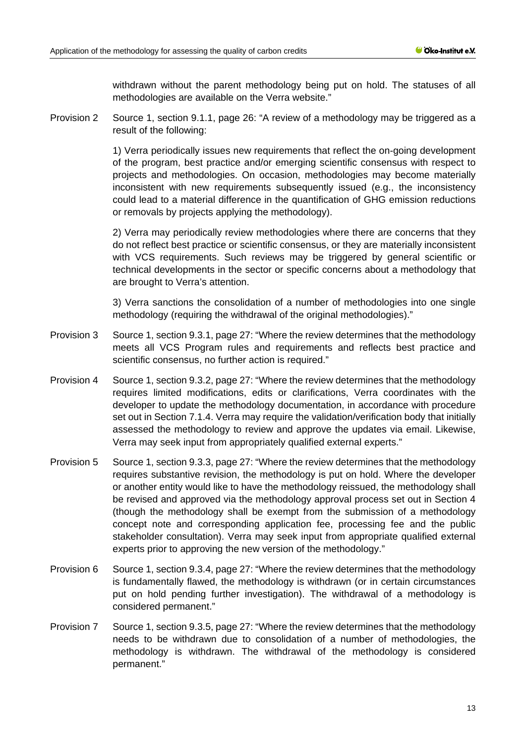withdrawn without the parent methodology being put on hold. The statuses of all methodologies are available on the Verra website."

Provision 2 Source 1, section 9.1.1, page 26: "A review of a methodology may be triggered as a result of the following:

> 1) Verra periodically issues new requirements that reflect the on-going development of the program, best practice and/or emerging scientific consensus with respect to projects and methodologies. On occasion, methodologies may become materially inconsistent with new requirements subsequently issued (e.g., the inconsistency could lead to a material difference in the quantification of GHG emission reductions or removals by projects applying the methodology).

> 2) Verra may periodically review methodologies where there are concerns that they do not reflect best practice or scientific consensus, or they are materially inconsistent with VCS requirements. Such reviews may be triggered by general scientific or technical developments in the sector or specific concerns about a methodology that are brought to Verra's attention.

> 3) Verra sanctions the consolidation of a number of methodologies into one single methodology (requiring the withdrawal of the original methodologies)."

- Provision 3 Source 1, section 9.3.1, page 27: "Where the review determines that the methodology meets all VCS Program rules and requirements and reflects best practice and scientific consensus, no further action is required."
- Provision 4 Source 1, section 9.3.2, page 27: "Where the review determines that the methodology requires limited modifications, edits or clarifications, Verra coordinates with the developer to update the methodology documentation, in accordance with procedure set out in Section 7.1.4. Verra may require the validation/verification body that initially assessed the methodology to review and approve the updates via email. Likewise, Verra may seek input from appropriately qualified external experts."
- Provision 5 Source 1, section 9.3.3, page 27: "Where the review determines that the methodology requires substantive revision, the methodology is put on hold. Where the developer or another entity would like to have the methodology reissued, the methodology shall be revised and approved via the methodology approval process set out in Section 4 (though the methodology shall be exempt from the submission of a methodology concept note and corresponding application fee, processing fee and the public stakeholder consultation). Verra may seek input from appropriate qualified external experts prior to approving the new version of the methodology."
- Provision 6 Source 1, section 9.3.4, page 27: "Where the review determines that the methodology is fundamentally flawed, the methodology is withdrawn (or in certain circumstances put on hold pending further investigation). The withdrawal of a methodology is considered permanent."
- Provision 7 Source 1, section 9.3.5, page 27: "Where the review determines that the methodology needs to be withdrawn due to consolidation of a number of methodologies, the methodology is withdrawn. The withdrawal of the methodology is considered permanent."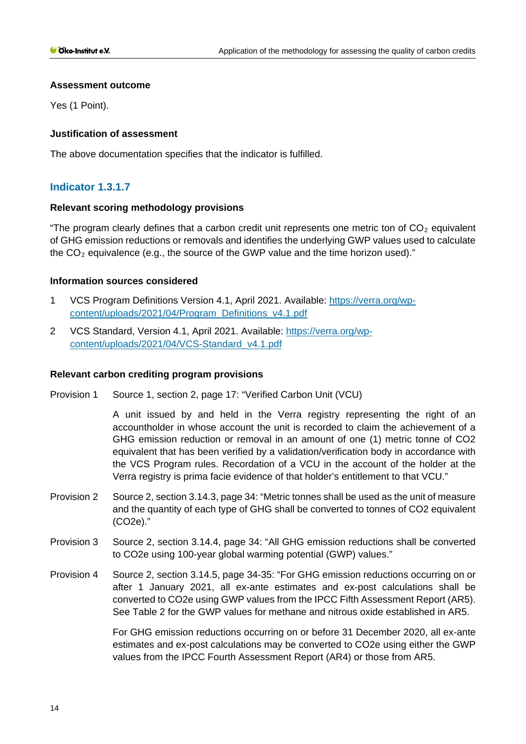## **Assessment outcome**

Yes (1 Point).

## **Justification of assessment**

The above documentation specifies that the indicator is fulfilled.

# **Indicator 1.3.1.7**

## **Relevant scoring methodology provisions**

"The program clearly defines that a carbon credit unit represents one metric ton of  $CO<sub>2</sub>$  equivalent of GHG emission reductions or removals and identifies the underlying GWP values used to calculate the  $CO<sub>2</sub>$  equivalence (e.g., the source of the GWP value and the time horizon used)."

## **Information sources considered**

- 1 VCS Program Definitions Version 4.1, April 2021. Available: [https://verra.org/wp](https://verra.org/wp-content/uploads/2021/04/Program_Definitions_v4.1.pdf)[content/uploads/2021/04/Program\\_Definitions\\_v4.1.pdf](https://verra.org/wp-content/uploads/2021/04/Program_Definitions_v4.1.pdf)
- 2 VCS Standard, Version 4.1, April 2021. Available: [https://verra.org/wp](https://verra.org/wp-content/uploads/2021/04/VCS-Standard_v4.1.pdf)[content/uploads/2021/04/VCS-Standard\\_v4.1.pdf](https://verra.org/wp-content/uploads/2021/04/VCS-Standard_v4.1.pdf)

## **Relevant carbon crediting program provisions**

Provision 1 Source 1, section 2, page 17: "Verified Carbon Unit (VCU)

A unit issued by and held in the Verra registry representing the right of an accountholder in whose account the unit is recorded to claim the achievement of a GHG emission reduction or removal in an amount of one (1) metric tonne of CO2 equivalent that has been verified by a validation/verification body in accordance with the VCS Program rules. Recordation of a VCU in the account of the holder at the Verra registry is prima facie evidence of that holder's entitlement to that VCU."

- Provision 2 Source 2, section 3.14.3, page 34: "Metric tonnes shall be used as the unit of measure and the quantity of each type of GHG shall be converted to tonnes of CO2 equivalent (CO2e)."
- Provision 3 Source 2, section 3.14.4, page 34: "All GHG emission reductions shall be converted to CO2e using 100-year global warming potential (GWP) values."
- Provision 4 Source 2, section 3.14.5, page 34-35: "For GHG emission reductions occurring on or after 1 January 2021, all ex-ante estimates and ex-post calculations shall be converted to CO2e using GWP values from the IPCC Fifth Assessment Report (AR5). See Table 2 for the GWP values for methane and nitrous oxide established in AR5.

For GHG emission reductions occurring on or before 31 December 2020, all ex-ante estimates and ex-post calculations may be converted to CO2e using either the GWP values from the IPCC Fourth Assessment Report (AR4) or those from AR5.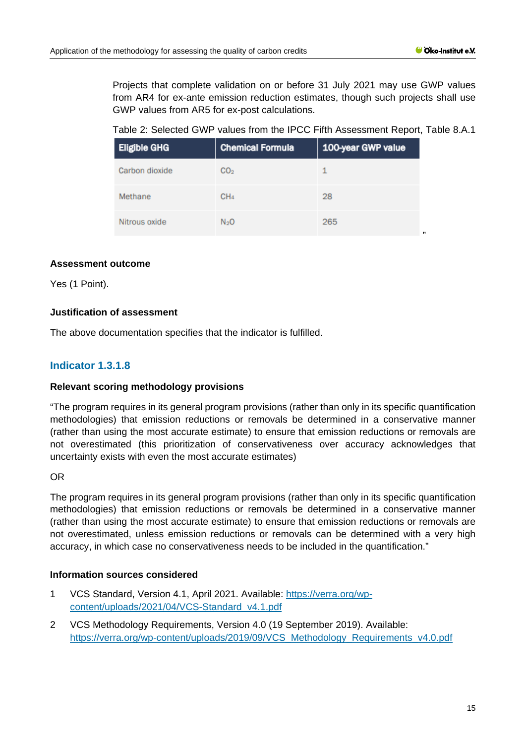Projects that complete validation on or before 31 July 2021 may use GWP values from AR4 for ex-ante emission reduction estimates, though such projects shall use GWP values from AR5 for ex-post calculations.

Table 2: Selected GWP values from the IPCC Fifth Assessment Report, Table 8.A.1

| <b>Eligible GHG</b> | <b>Chemical Formula</b> | 100-year GWP value |
|---------------------|-------------------------|--------------------|
| Carbon dioxide      | CO <sub>2</sub>         | 1                  |
| Methane             | CH <sub>4</sub>         | 28                 |
| Nitrous oxide       | N <sub>2</sub> O        | 265                |

## **Assessment outcome**

Yes (1 Point).

## **Justification of assessment**

The above documentation specifies that the indicator is fulfilled.

# **Indicator 1.3.1.8**

#### **Relevant scoring methodology provisions**

"The program requires in its general program provisions (rather than only in its specific quantification methodologies) that emission reductions or removals be determined in a conservative manner (rather than using the most accurate estimate) to ensure that emission reductions or removals are not overestimated (this prioritization of conservativeness over accuracy acknowledges that uncertainty exists with even the most accurate estimates)

#### OR

The program requires in its general program provisions (rather than only in its specific quantification methodologies) that emission reductions or removals be determined in a conservative manner (rather than using the most accurate estimate) to ensure that emission reductions or removals are not overestimated, unless emission reductions or removals can be determined with a very high accuracy, in which case no conservativeness needs to be included in the quantification."

#### **Information sources considered**

- 1 VCS Standard, Version 4.1, April 2021. Available: [https://verra.org/wp](https://verra.org/wp-content/uploads/2021/04/VCS-Standard_v4.1.pdf)[content/uploads/2021/04/VCS-Standard\\_v4.1.pdf](https://verra.org/wp-content/uploads/2021/04/VCS-Standard_v4.1.pdf)
- 2 VCS Methodology Requirements, Version 4.0 (19 September 2019). Available: [https://verra.org/wp-content/uploads/2019/09/VCS\\_Methodology\\_Requirements\\_v4.0.pdf](https://verra.org/wp-content/uploads/2019/09/VCS_Methodology_Requirements_v4.0.pdf)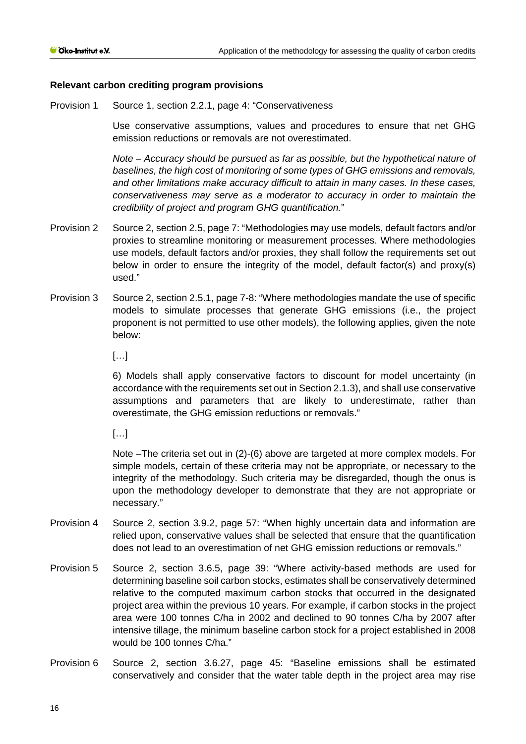## **Relevant carbon crediting program provisions**

Provision 1 Source 1, section 2.2.1, page 4: "Conservativeness

Use conservative assumptions, values and procedures to ensure that net GHG emission reductions or removals are not overestimated.

*Note – Accuracy should be pursued as far as possible, but the hypothetical nature of baselines, the high cost of monitoring of some types of GHG emissions and removals, and other limitations make accuracy difficult to attain in many cases. In these cases, conservativeness may serve as a moderator to accuracy in order to maintain the credibility of project and program GHG quantification.*"

- Provision 2 Source 2, section 2.5, page 7: "Methodologies may use models, default factors and/or proxies to streamline monitoring or measurement processes. Where methodologies use models, default factors and/or proxies, they shall follow the requirements set out below in order to ensure the integrity of the model, default factor(s) and  $prox(s)$ used."
- Provision 3 Source 2, section 2.5.1, page 7-8: "Where methodologies mandate the use of specific models to simulate processes that generate GHG emissions (i.e., the project proponent is not permitted to use other models), the following applies, given the note below:

[…]

6) Models shall apply conservative factors to discount for model uncertainty (in accordance with the requirements set out in Section 2.1.3), and shall use conservative assumptions and parameters that are likely to underestimate, rather than overestimate, the GHG emission reductions or removals."

[…]

Note –The criteria set out in (2)-(6) above are targeted at more complex models. For simple models, certain of these criteria may not be appropriate, or necessary to the integrity of the methodology. Such criteria may be disregarded, though the onus is upon the methodology developer to demonstrate that they are not appropriate or necessary."

- Provision 4 Source 2, section 3.9.2, page 57: "When highly uncertain data and information are relied upon, conservative values shall be selected that ensure that the quantification does not lead to an overestimation of net GHG emission reductions or removals."
- Provision 5 Source 2, section 3.6.5, page 39: "Where activity-based methods are used for determining baseline soil carbon stocks, estimates shall be conservatively determined relative to the computed maximum carbon stocks that occurred in the designated project area within the previous 10 years. For example, if carbon stocks in the project area were 100 tonnes C/ha in 2002 and declined to 90 tonnes C/ha by 2007 after intensive tillage, the minimum baseline carbon stock for a project established in 2008 would be 100 tonnes C/ha."
- Provision 6 Source 2, section 3.6.27, page 45: "Baseline emissions shall be estimated conservatively and consider that the water table depth in the project area may rise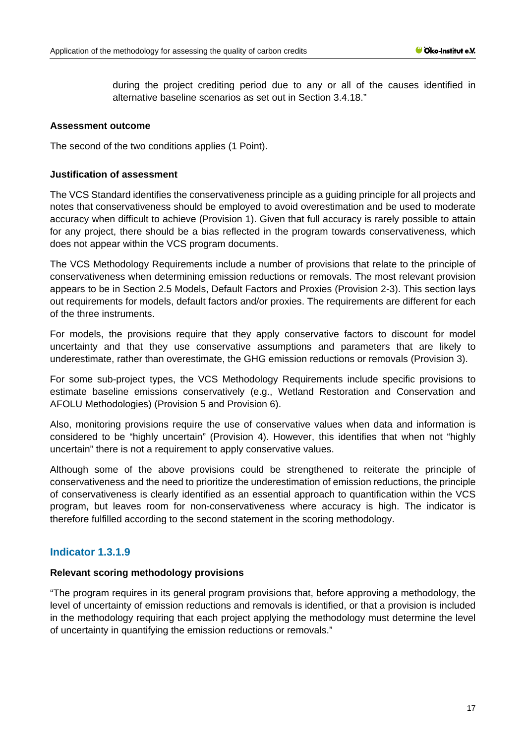during the project crediting period due to any or all of the causes identified in alternative baseline scenarios as set out in Section 3.4.18."

#### **Assessment outcome**

The second of the two conditions applies (1 Point).

#### **Justification of assessment**

The VCS Standard identifies the conservativeness principle as a guiding principle for all projects and notes that conservativeness should be employed to avoid overestimation and be used to moderate accuracy when difficult to achieve (Provision 1). Given that full accuracy is rarely possible to attain for any project, there should be a bias reflected in the program towards conservativeness, which does not appear within the VCS program documents.

The VCS Methodology Requirements include a number of provisions that relate to the principle of conservativeness when determining emission reductions or removals. The most relevant provision appears to be in Section 2.5 Models, Default Factors and Proxies (Provision 2-3). This section lays out requirements for models, default factors and/or proxies. The requirements are different for each of the three instruments.

For models, the provisions require that they apply conservative factors to discount for model uncertainty and that they use conservative assumptions and parameters that are likely to underestimate, rather than overestimate, the GHG emission reductions or removals (Provision 3).

For some sub-project types, the VCS Methodology Requirements include specific provisions to estimate baseline emissions conservatively (e.g., Wetland Restoration and Conservation and AFOLU Methodologies) (Provision 5 and Provision 6).

Also, monitoring provisions require the use of conservative values when data and information is considered to be "highly uncertain" (Provision 4). However, this identifies that when not "highly uncertain" there is not a requirement to apply conservative values.

Although some of the above provisions could be strengthened to reiterate the principle of conservativeness and the need to prioritize the underestimation of emission reductions, the principle of conservativeness is clearly identified as an essential approach to quantification within the VCS program, but leaves room for non-conservativeness where accuracy is high. The indicator is therefore fulfilled according to the second statement in the scoring methodology.

# **Indicator 1.3.1.9**

#### **Relevant scoring methodology provisions**

"The program requires in its general program provisions that, before approving a methodology, the level of uncertainty of emission reductions and removals is identified, or that a provision is included in the methodology requiring that each project applying the methodology must determine the level of uncertainty in quantifying the emission reductions or removals."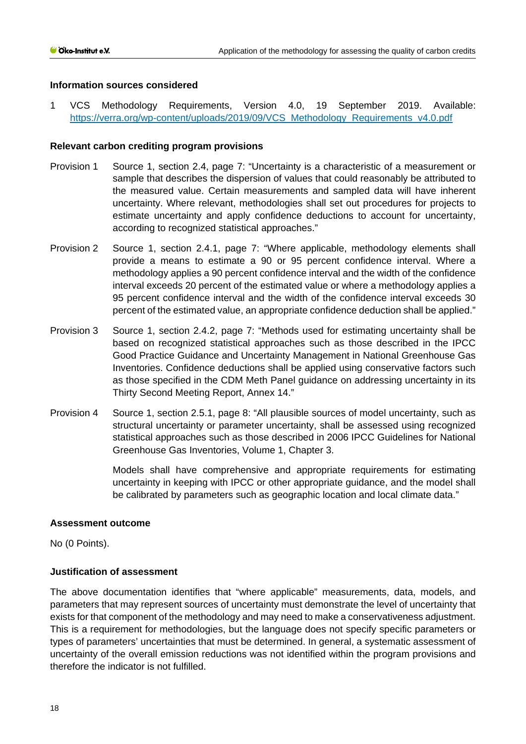## **Information sources considered**

1 VCS Methodology Requirements, Version 4.0, 19 September 2019. Available: [https://verra.org/wp-content/uploads/2019/09/VCS\\_Methodology\\_Requirements\\_v4.0.pdf](https://verra.org/wp-content/uploads/2019/09/VCS_Methodology_Requirements_v4.0.pdf) 

## **Relevant carbon crediting program provisions**

- Provision 1 Source 1, section 2.4, page 7: "Uncertainty is a characteristic of a measurement or sample that describes the dispersion of values that could reasonably be attributed to the measured value. Certain measurements and sampled data will have inherent uncertainty. Where relevant, methodologies shall set out procedures for projects to estimate uncertainty and apply confidence deductions to account for uncertainty, according to recognized statistical approaches."
- Provision 2 Source 1, section 2.4.1, page 7: "Where applicable, methodology elements shall provide a means to estimate a 90 or 95 percent confidence interval. Where a methodology applies a 90 percent confidence interval and the width of the confidence interval exceeds 20 percent of the estimated value or where a methodology applies a 95 percent confidence interval and the width of the confidence interval exceeds 30 percent of the estimated value, an appropriate confidence deduction shall be applied."
- Provision 3 Source 1, section 2.4.2, page 7: "Methods used for estimating uncertainty shall be based on recognized statistical approaches such as those described in the IPCC Good Practice Guidance and Uncertainty Management in National Greenhouse Gas Inventories. Confidence deductions shall be applied using conservative factors such as those specified in the CDM Meth Panel guidance on addressing uncertainty in its Thirty Second Meeting Report, Annex 14."
- Provision 4 Source 1, section 2.5.1, page 8: "All plausible sources of model uncertainty, such as structural uncertainty or parameter uncertainty, shall be assessed using recognized statistical approaches such as those described in 2006 IPCC Guidelines for National Greenhouse Gas Inventories, Volume 1, Chapter 3.

Models shall have comprehensive and appropriate requirements for estimating uncertainty in keeping with IPCC or other appropriate guidance, and the model shall be calibrated by parameters such as geographic location and local climate data."

#### **Assessment outcome**

No (0 Points).

## **Justification of assessment**

The above documentation identifies that "where applicable" measurements, data, models, and parameters that may represent sources of uncertainty must demonstrate the level of uncertainty that exists for that component of the methodology and may need to make a conservativeness adjustment. This is a requirement for methodologies, but the language does not specify specific parameters or types of parameters' uncertainties that must be determined. In general, a systematic assessment of uncertainty of the overall emission reductions was not identified within the program provisions and therefore the indicator is not fulfilled.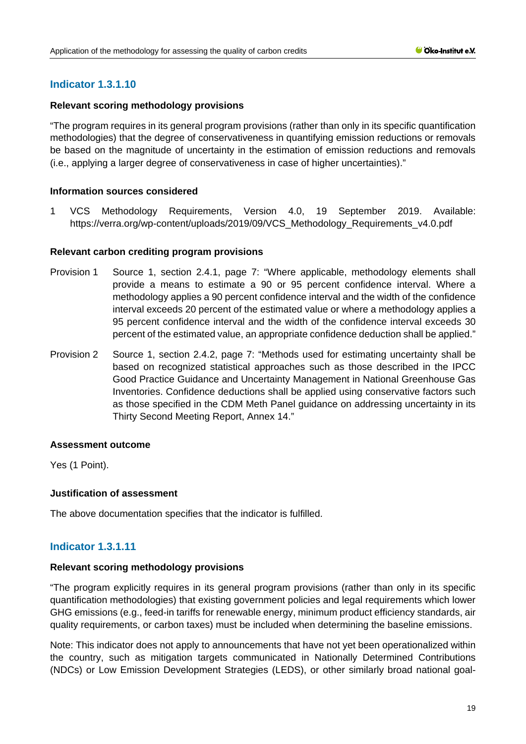# **Indicator 1.3.1.10**

## **Relevant scoring methodology provisions**

"The program requires in its general program provisions (rather than only in its specific quantification methodologies) that the degree of conservativeness in quantifying emission reductions or removals be based on the magnitude of uncertainty in the estimation of emission reductions and removals (i.e., applying a larger degree of conservativeness in case of higher uncertainties)."

## **Information sources considered**

1 VCS Methodology Requirements, Version 4.0, 19 September 2019. Available: [https://verra.org/wp-content/uploads/2019/09/VCS\\_Methodology\\_Requirements\\_v4.0.pdf](https://verra.org/wp-content/uploads/2019/09/VCS_Methodology_Requirements_v4.0.pdf)

## **Relevant carbon crediting program provisions**

- Provision 1 Source 1, section 2.4.1, page 7: "Where applicable, methodology elements shall provide a means to estimate a 90 or 95 percent confidence interval. Where a methodology applies a 90 percent confidence interval and the width of the confidence interval exceeds 20 percent of the estimated value or where a methodology applies a 95 percent confidence interval and the width of the confidence interval exceeds 30 percent of the estimated value, an appropriate confidence deduction shall be applied."
- Provision 2 Source 1, section 2.4.2, page 7: "Methods used for estimating uncertainty shall be based on recognized statistical approaches such as those described in the IPCC Good Practice Guidance and Uncertainty Management in National Greenhouse Gas Inventories. Confidence deductions shall be applied using conservative factors such as those specified in the CDM Meth Panel guidance on addressing uncertainty in its Thirty Second Meeting Report, Annex 14."

#### **Assessment outcome**

Yes (1 Point).

## **Justification of assessment**

The above documentation specifies that the indicator is fulfilled.

## **Indicator 1.3.1.11**

#### **Relevant scoring methodology provisions**

"The program explicitly requires in its general program provisions (rather than only in its specific quantification methodologies) that existing government policies and legal requirements which lower GHG emissions (e.g., feed-in tariffs for renewable energy, minimum product efficiency standards, air quality requirements, or carbon taxes) must be included when determining the baseline emissions.

Note: This indicator does not apply to announcements that have not yet been operationalized within the country, such as mitigation targets communicated in Nationally Determined Contributions (NDCs) or Low Emission Development Strategies (LEDS), or other similarly broad national goal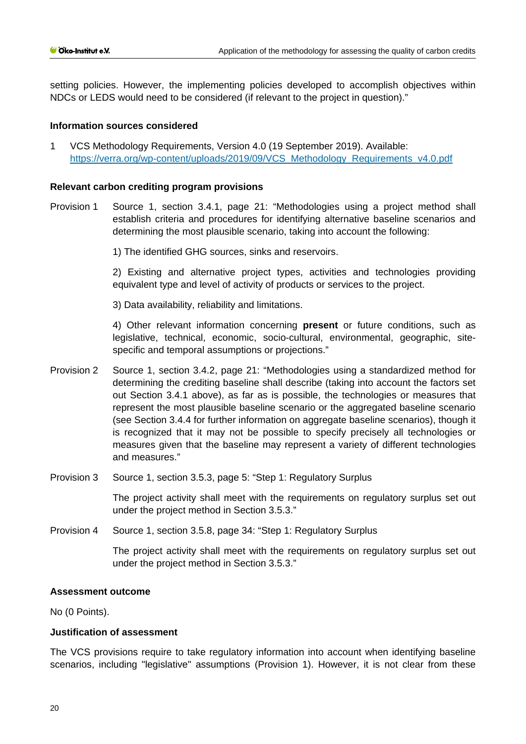setting policies. However, the implementing policies developed to accomplish objectives within NDCs or LEDS would need to be considered (if relevant to the project in question)."

#### **Information sources considered**

1 VCS Methodology Requirements, Version 4.0 (19 September 2019). Available: [https://verra.org/wp-content/uploads/2019/09/VCS\\_Methodology\\_Requirements\\_v4.0.pdf](https://verra.org/wp-content/uploads/2019/09/VCS_Methodology_Requirements_v4.0.pdf)

#### **Relevant carbon crediting program provisions**

Provision 1 Source 1, section 3.4.1, page 21: "Methodologies using a project method shall establish criteria and procedures for identifying alternative baseline scenarios and determining the most plausible scenario, taking into account the following:

1) The identified GHG sources, sinks and reservoirs.

2) Existing and alternative project types, activities and technologies providing equivalent type and level of activity of products or services to the project.

3) Data availability, reliability and limitations.

4) Other relevant information concerning **present** or future conditions, such as legislative, technical, economic, socio-cultural, environmental, geographic, sitespecific and temporal assumptions or projections."

- Provision 2 Source 1, section 3.4.2, page 21: "Methodologies using a standardized method for determining the crediting baseline shall describe (taking into account the factors set out Section 3.4.1 above), as far as is possible, the technologies or measures that represent the most plausible baseline scenario or the aggregated baseline scenario (see Section 3.4.4 for further information on aggregate baseline scenarios), though it is recognized that it may not be possible to specify precisely all technologies or measures given that the baseline may represent a variety of different technologies and measures."
- Provision 3 Source 1, section 3.5.3, page 5: "Step 1: Regulatory Surplus

The project activity shall meet with the requirements on regulatory surplus set out under the project method in Section 3.5.3."

Provision 4 Source 1, section 3.5.8, page 34: "Step 1: Regulatory Surplus

The project activity shall meet with the requirements on regulatory surplus set out under the project method in Section 3.5.3."

#### **Assessment outcome**

No (0 Points).

## **Justification of assessment**

The VCS provisions require to take regulatory information into account when identifying baseline scenarios, including "legislative" assumptions (Provision 1). However, it is not clear from these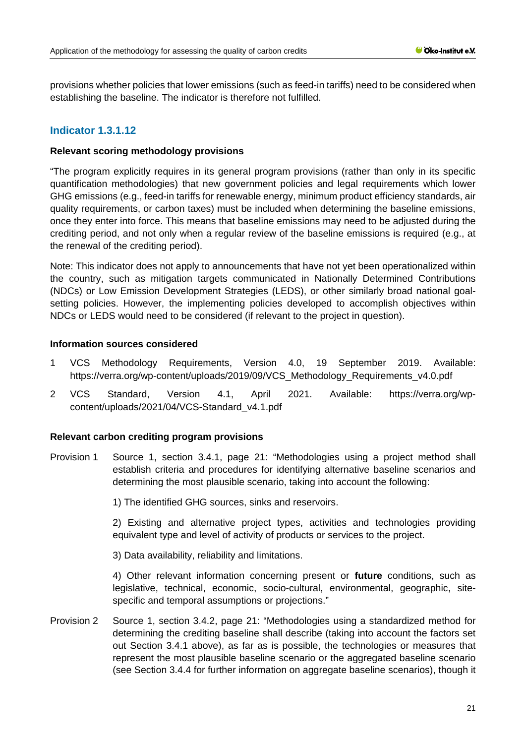provisions whether policies that lower emissions (such as feed-in tariffs) need to be considered when establishing the baseline. The indicator is therefore not fulfilled.

# **Indicator 1.3.1.12**

#### **Relevant scoring methodology provisions**

"The program explicitly requires in its general program provisions (rather than only in its specific quantification methodologies) that new government policies and legal requirements which lower GHG emissions (e.g., feed-in tariffs for renewable energy, minimum product efficiency standards, air quality requirements, or carbon taxes) must be included when determining the baseline emissions, once they enter into force. This means that baseline emissions may need to be adjusted during the crediting period, and not only when a regular review of the baseline emissions is required (e.g., at the renewal of the crediting period).

Note: This indicator does not apply to announcements that have not yet been operationalized within the country, such as mitigation targets communicated in Nationally Determined Contributions (NDCs) or Low Emission Development Strategies (LEDS), or other similarly broad national goalsetting policies. However, the implementing policies developed to accomplish objectives within NDCs or LEDS would need to be considered (if relevant to the project in question).

## **Information sources considered**

- 1 VCS Methodology Requirements, Version 4.0, 19 September 2019. Available: [https://verra.org/wp-content/uploads/2019/09/VCS\\_Methodology\\_Requirements\\_v4.0.pdf](https://verra.org/wp-content/uploads/2019/09/VCS_Methodology_Requirements_v4.0.pdf)
- 2 VCS Standard, Version 4.1, April 2021. Available: [https://verra.org/wp](https://verra.org/wp-content/uploads/2021/04/VCS-Standard_v4.1.pdf)[content/uploads/2021/04/VCS-Standard\\_v4.1.pdf](https://verra.org/wp-content/uploads/2021/04/VCS-Standard_v4.1.pdf)

#### **Relevant carbon crediting program provisions**

Provision 1 Source 1, section 3.4.1, page 21: "Methodologies using a project method shall establish criteria and procedures for identifying alternative baseline scenarios and determining the most plausible scenario, taking into account the following:

1) The identified GHG sources, sinks and reservoirs.

2) Existing and alternative project types, activities and technologies providing equivalent type and level of activity of products or services to the project.

3) Data availability, reliability and limitations.

4) Other relevant information concerning present or **future** conditions, such as legislative, technical, economic, socio-cultural, environmental, geographic, sitespecific and temporal assumptions or projections."

Provision 2 Source 1, section 3.4.2, page 21: "Methodologies using a standardized method for determining the crediting baseline shall describe (taking into account the factors set out Section 3.4.1 above), as far as is possible, the technologies or measures that represent the most plausible baseline scenario or the aggregated baseline scenario (see Section 3.4.4 for further information on aggregate baseline scenarios), though it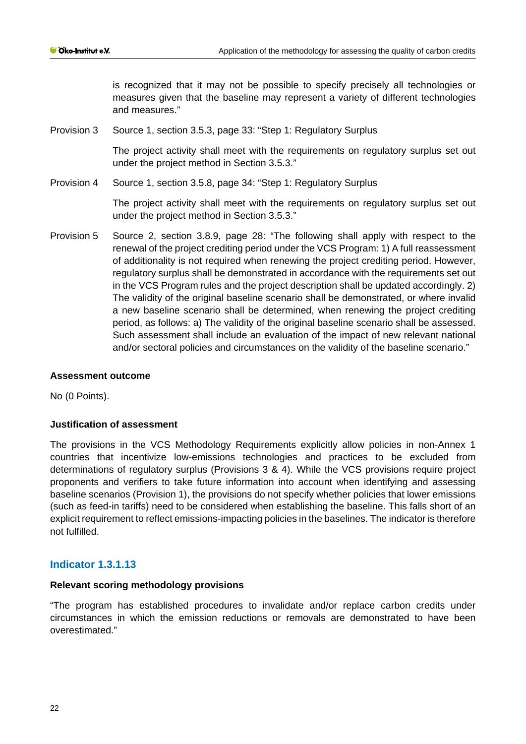is recognized that it may not be possible to specify precisely all technologies or measures given that the baseline may represent a variety of different technologies and measures."

Provision 3 Source 1, section 3.5.3, page 33: "Step 1: Regulatory Surplus

The project activity shall meet with the requirements on regulatory surplus set out under the project method in Section 3.5.3."

Provision 4 Source 1, section 3.5.8, page 34: "Step 1: Regulatory Surplus

The project activity shall meet with the requirements on regulatory surplus set out under the project method in Section 3.5.3."

Provision 5 Source 2, section 3.8.9, page 28: "The following shall apply with respect to the renewal of the project crediting period under the VCS Program: 1) A full reassessment of additionality is not required when renewing the project crediting period. However, regulatory surplus shall be demonstrated in accordance with the requirements set out in the VCS Program rules and the project description shall be updated accordingly. 2) The validity of the original baseline scenario shall be demonstrated, or where invalid a new baseline scenario shall be determined, when renewing the project crediting period, as follows: a) The validity of the original baseline scenario shall be assessed. Such assessment shall include an evaluation of the impact of new relevant national and/or sectoral policies and circumstances on the validity of the baseline scenario."

#### **Assessment outcome**

No (0 Points).

## **Justification of assessment**

The provisions in the VCS Methodology Requirements explicitly allow policies in non-Annex 1 countries that incentivize low-emissions technologies and practices to be excluded from determinations of regulatory surplus (Provisions 3 & 4). While the VCS provisions require project proponents and verifiers to take future information into account when identifying and assessing baseline scenarios (Provision 1), the provisions do not specify whether policies that lower emissions (such as feed-in tariffs) need to be considered when establishing the baseline. This falls short of an explicit requirement to reflect emissions-impacting policies in the baselines. The indicator is therefore not fulfilled.

## **Indicator 1.3.1.13**

#### **Relevant scoring methodology provisions**

"The program has established procedures to invalidate and/or replace carbon credits under circumstances in which the emission reductions or removals are demonstrated to have been overestimated."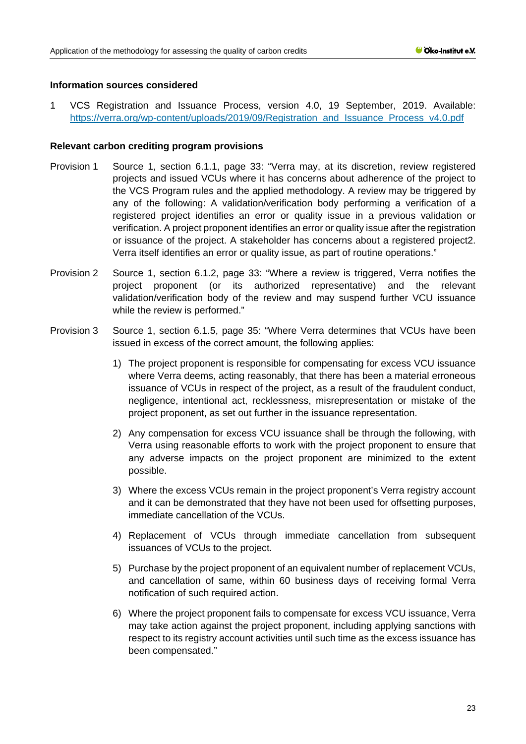## **Information sources considered**

1 VCS Registration and Issuance Process, version 4.0, 19 September, 2019. Available: [https://verra.org/wp-content/uploads/2019/09/Registration\\_and\\_Issuance\\_Process\\_v4.0.pdf](https://verra.org/wp-content/uploads/2019/09/Registration_and_Issuance_Process_v4.0.pdf)

## **Relevant carbon crediting program provisions**

- Provision 1 Source 1, section 6.1.1, page 33: "Verra may, at its discretion, review registered projects and issued VCUs where it has concerns about adherence of the project to the VCS Program rules and the applied methodology. A review may be triggered by any of the following: A validation/verification body performing a verification of a registered project identifies an error or quality issue in a previous validation or verification. A project proponent identifies an error or quality issue after the registration or issuance of the project. A stakeholder has concerns about a registered project2. Verra itself identifies an error or quality issue, as part of routine operations."
- Provision 2 Source 1, section 6.1.2, page 33: "Where a review is triggered, Verra notifies the project proponent (or its authorized representative) and the relevant validation/verification body of the review and may suspend further VCU issuance while the review is performed."
- Provision 3 Source 1, section 6.1.5, page 35: "Where Verra determines that VCUs have been issued in excess of the correct amount, the following applies:
	- 1) The project proponent is responsible for compensating for excess VCU issuance where Verra deems, acting reasonably, that there has been a material erroneous issuance of VCUs in respect of the project, as a result of the fraudulent conduct, negligence, intentional act, recklessness, misrepresentation or mistake of the project proponent, as set out further in the issuance representation.
	- 2) Any compensation for excess VCU issuance shall be through the following, with Verra using reasonable efforts to work with the project proponent to ensure that any adverse impacts on the project proponent are minimized to the extent possible.
	- 3) Where the excess VCUs remain in the project proponent's Verra registry account and it can be demonstrated that they have not been used for offsetting purposes, immediate cancellation of the VCUs.
	- 4) Replacement of VCUs through immediate cancellation from subsequent issuances of VCUs to the project.
	- 5) Purchase by the project proponent of an equivalent number of replacement VCUs, and cancellation of same, within 60 business days of receiving formal Verra notification of such required action.
	- 6) Where the project proponent fails to compensate for excess VCU issuance, Verra may take action against the project proponent, including applying sanctions with respect to its registry account activities until such time as the excess issuance has been compensated."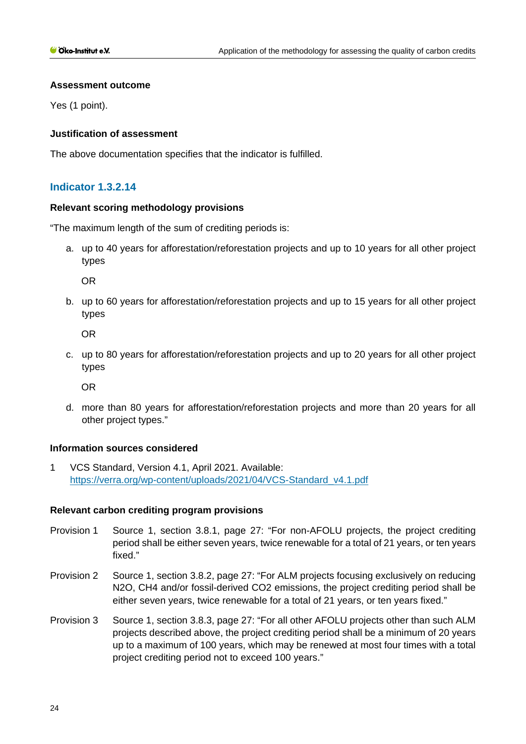#### **Assessment outcome**

Yes (1 point).

## **Justification of assessment**

The above documentation specifies that the indicator is fulfilled.

# **Indicator 1.3.2.14**

#### **Relevant scoring methodology provisions**

"The maximum length of the sum of crediting periods is:

a. up to 40 years for afforestation/reforestation projects and up to 10 years for all other project types

OR

b. up to 60 years for afforestation/reforestation projects and up to 15 years for all other project types

OR

c. up to 80 years for afforestation/reforestation projects and up to 20 years for all other project types

OR

d. more than 80 years for afforestation/reforestation projects and more than 20 years for all other project types."

#### **Information sources considered**

1 VCS Standard, Version 4.1, April 2021. Available: [https://verra.org/wp-content/uploads/2021/04/VCS-Standard\\_v4.1.pdf](https://verra.org/wp-content/uploads/2021/04/VCS-Standard_v4.1.pdf)

## **Relevant carbon crediting program provisions**

- Provision 1 Source 1, section 3.8.1, page 27: "For non-AFOLU projects, the project crediting period shall be either seven years, twice renewable for a total of 21 years, or ten years fixed."
- Provision 2 Source 1, section 3.8.2, page 27: "For ALM projects focusing exclusively on reducing N2O, CH4 and/or fossil-derived CO2 emissions, the project crediting period shall be either seven years, twice renewable for a total of 21 years, or ten years fixed."
- Provision 3 Source 1, section 3.8.3, page 27: "For all other AFOLU projects other than such ALM projects described above, the project crediting period shall be a minimum of 20 years up to a maximum of 100 years, which may be renewed at most four times with a total project crediting period not to exceed 100 years."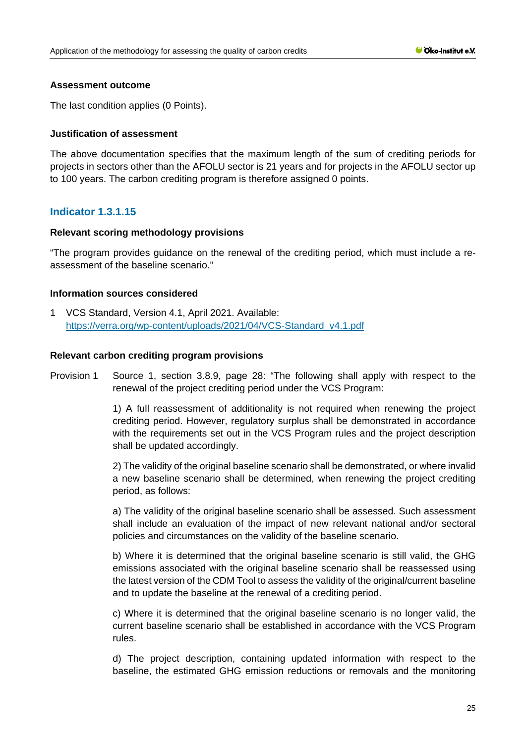## **Assessment outcome**

The last condition applies (0 Points).

## **Justification of assessment**

The above documentation specifies that the maximum length of the sum of crediting periods for projects in sectors other than the AFOLU sector is 21 years and for projects in the AFOLU sector up to 100 years. The carbon crediting program is therefore assigned 0 points.

# **Indicator 1.3.1.15**

## **Relevant scoring methodology provisions**

"The program provides guidance on the renewal of the crediting period, which must include a reassessment of the baseline scenario."

## **Information sources considered**

1 VCS Standard, Version 4.1, April 2021. Available: [https://verra.org/wp-content/uploads/2021/04/VCS-Standard\\_v4.1.pdf](https://verra.org/wp-content/uploads/2021/04/VCS-Standard_v4.1.pdf)

#### **Relevant carbon crediting program provisions**

Provision 1 Source 1, section 3.8.9, page 28: "The following shall apply with respect to the renewal of the project crediting period under the VCS Program:

> 1) A full reassessment of additionality is not required when renewing the project crediting period. However, regulatory surplus shall be demonstrated in accordance with the requirements set out in the VCS Program rules and the project description shall be updated accordingly.

> 2) The validity of the original baseline scenario shall be demonstrated, or where invalid a new baseline scenario shall be determined, when renewing the project crediting period, as follows:

> a) The validity of the original baseline scenario shall be assessed. Such assessment shall include an evaluation of the impact of new relevant national and/or sectoral policies and circumstances on the validity of the baseline scenario.

> b) Where it is determined that the original baseline scenario is still valid, the GHG emissions associated with the original baseline scenario shall be reassessed using the latest version of the CDM Tool to assess the validity of the original/current baseline and to update the baseline at the renewal of a crediting period.

> c) Where it is determined that the original baseline scenario is no longer valid, the current baseline scenario shall be established in accordance with the VCS Program rules.

> d) The project description, containing updated information with respect to the baseline, the estimated GHG emission reductions or removals and the monitoring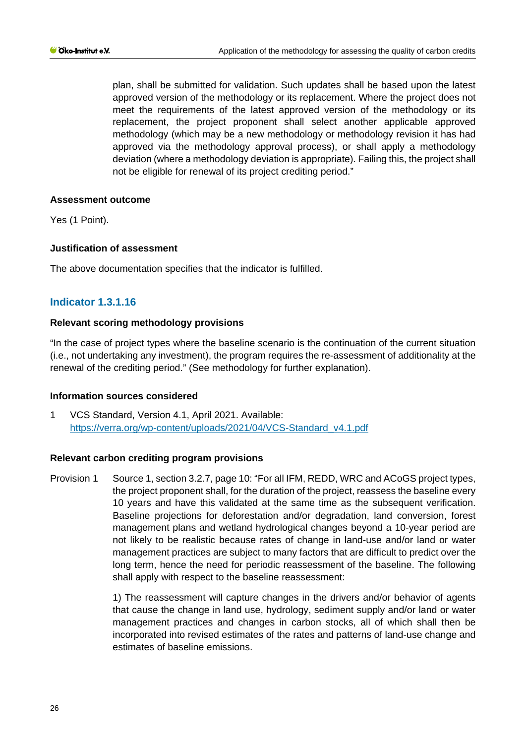plan, shall be submitted for validation. Such updates shall be based upon the latest approved version of the methodology or its replacement. Where the project does not meet the requirements of the latest approved version of the methodology or its replacement, the project proponent shall select another applicable approved methodology (which may be a new methodology or methodology revision it has had approved via the methodology approval process), or shall apply a methodology deviation (where a methodology deviation is appropriate). Failing this, the project shall not be eligible for renewal of its project crediting period."

## **Assessment outcome**

Yes (1 Point).

## **Justification of assessment**

The above documentation specifies that the indicator is fulfilled.

# **Indicator 1.3.1.16**

## **Relevant scoring methodology provisions**

"In the case of project types where the baseline scenario is the continuation of the current situation (i.e., not undertaking any investment), the program requires the re-assessment of additionality at the renewal of the crediting period." (See methodology for further explanation).

#### **Information sources considered**

1 VCS Standard, Version 4.1, April 2021. Available: [https://verra.org/wp-content/uploads/2021/04/VCS-Standard\\_v4.1.pdf](https://verra.org/wp-content/uploads/2021/04/VCS-Standard_v4.1.pdf)

#### **Relevant carbon crediting program provisions**

Provision 1 Source 1, section 3.2.7, page 10: "For all IFM, REDD, WRC and ACoGS project types, the project proponent shall, for the duration of the project, reassess the baseline every 10 years and have this validated at the same time as the subsequent verification. Baseline projections for deforestation and/or degradation, land conversion, forest management plans and wetland hydrological changes beyond a 10-year period are not likely to be realistic because rates of change in land-use and/or land or water management practices are subject to many factors that are difficult to predict over the long term, hence the need for periodic reassessment of the baseline. The following shall apply with respect to the baseline reassessment:

> 1) The reassessment will capture changes in the drivers and/or behavior of agents that cause the change in land use, hydrology, sediment supply and/or land or water management practices and changes in carbon stocks, all of which shall then be incorporated into revised estimates of the rates and patterns of land-use change and estimates of baseline emissions.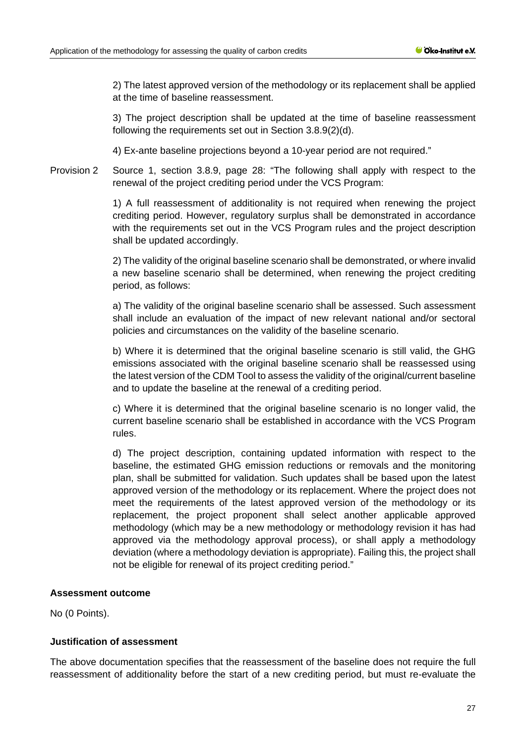2) The latest approved version of the methodology or its replacement shall be applied at the time of baseline reassessment.

3) The project description shall be updated at the time of baseline reassessment following the requirements set out in Section 3.8.9(2)(d).

4) Ex-ante baseline projections beyond a 10-year period are not required."

Provision 2 Source 1, section 3.8.9, page 28: "The following shall apply with respect to the renewal of the project crediting period under the VCS Program:

> 1) A full reassessment of additionality is not required when renewing the project crediting period. However, regulatory surplus shall be demonstrated in accordance with the requirements set out in the VCS Program rules and the project description shall be updated accordingly.

> 2) The validity of the original baseline scenario shall be demonstrated, or where invalid a new baseline scenario shall be determined, when renewing the project crediting period, as follows:

> a) The validity of the original baseline scenario shall be assessed. Such assessment shall include an evaluation of the impact of new relevant national and/or sectoral policies and circumstances on the validity of the baseline scenario.

> b) Where it is determined that the original baseline scenario is still valid, the GHG emissions associated with the original baseline scenario shall be reassessed using the latest version of the CDM Tool to assess the validity of the original/current baseline and to update the baseline at the renewal of a crediting period.

> c) Where it is determined that the original baseline scenario is no longer valid, the current baseline scenario shall be established in accordance with the VCS Program rules.

> d) The project description, containing updated information with respect to the baseline, the estimated GHG emission reductions or removals and the monitoring plan, shall be submitted for validation. Such updates shall be based upon the latest approved version of the methodology or its replacement. Where the project does not meet the requirements of the latest approved version of the methodology or its replacement, the project proponent shall select another applicable approved methodology (which may be a new methodology or methodology revision it has had approved via the methodology approval process), or shall apply a methodology deviation (where a methodology deviation is appropriate). Failing this, the project shall not be eligible for renewal of its project crediting period."

## **Assessment outcome**

No (0 Points).

## **Justification of assessment**

The above documentation specifies that the reassessment of the baseline does not require the full reassessment of additionality before the start of a new crediting period, but must re-evaluate the